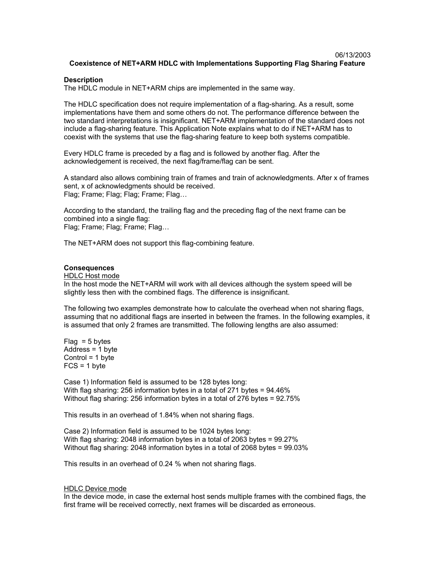## 06/13/2003 **Coexistence of NET+ARM HDLC with Implementations Supporting Flag Sharing Feature**

### **Description**

The HDLC module in NET+ARM chips are implemented in the same way.

The HDLC specification does not require implementation of a flag-sharing. As a result, some implementations have them and some others do not. The performance difference between the two standard interpretations is insignificant. NET+ARM implementation of the standard does not include a flag-sharing feature. This Application Note explains what to do if NET+ARM has to coexist with the systems that use the flag-sharing feature to keep both systems compatible.

Every HDLC frame is preceded by a flag and is followed by another flag. After the acknowledgement is received, the next flag/frame/flag can be sent.

A standard also allows combining train of frames and train of acknowledgments. After x of frames sent, x of acknowledgments should be received. Flag; Frame; Flag; Flag; Frame; Flag…

According to the standard, the trailing flag and the preceding flag of the next frame can be combined into a single flag: Flag; Frame; Flag; Frame; Flag…

The NET+ARM does not support this flag-combining feature.

#### **Consequences**

#### HDLC Host mode

In the host mode the NET+ARM will work with all devices although the system speed will be slightly less then with the combined flags. The difference is insignificant.

The following two examples demonstrate how to calculate the overhead when not sharing flags, assuming that no additional flags are inserted in between the frames. In the following examples, it is assumed that only 2 frames are transmitted. The following lengths are also assumed:

 $Flaq = 5$  bytes Address = 1 byte Control = 1 byte  $FCS = 1$  byte

Case 1) Information field is assumed to be 128 bytes long: With flag sharing: 256 information bytes in a total of 271 bytes = 94.46% Without flag sharing: 256 information bytes in a total of 276 bytes = 92.75%

This results in an overhead of 1.84% when not sharing flags.

Case 2) Information field is assumed to be 1024 bytes long: With flag sharing: 2048 information bytes in a total of 2063 bytes = 99.27% Without flag sharing: 2048 information bytes in a total of 2068 bytes = 99.03%

This results in an overhead of 0.24 % when not sharing flags.

#### HDLC Device mode

In the device mode, in case the external host sends multiple frames with the combined flags, the first frame will be received correctly, next frames will be discarded as erroneous.